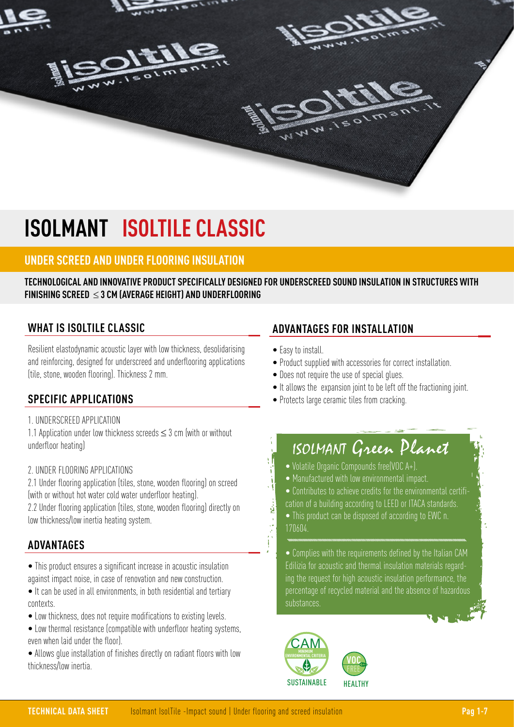

# **ISOLMANT ISOLTILE CLASSIC**

## **UNDER SCREED AND UNDER FLOORING INSULATION**

### **TECHNOLOGICAL AND INNOVATIVE PRODUCT SPECIFICALLY DESIGNED FOR UNDERSCREED SOUND INSULATION IN STRUCTURES WITH FINISHING SCREED** ≤ **3 CM (AVERAGE HEIGHT) AND UNDERFLOORING**

## **WHAT IS ISOLTILE CLASSIC**

Resilient elastodynamic acoustic layer with low thickness, desolidarising and reinforcing, designed for underscreed and underflooring applications (tile, stone, wooden flooring). Thickness 2 mm.

## **SPECIFIC APPLICATIONS**

1. UNDERSCREED APPLICATION

1.1 Application under low thickness screeds ≤ 3 cm (with or without underfloor heating)

### 2. UNDER FLOORING APPLICATIONS

2.1 Under flooring application (tiles, stone, wooden flooring) on screed (with or without hot water cold water underfloor heating).

2.2 Under flooring application (tiles, stone, wooden flooring) directly on low thickness/low inertia heating system.

## **ADVANTAGES**

• This product ensures a significant increase in acoustic insulation against impact noise, in case of renovation and new construction.

- It can be used in all environments, in both residential and tertiary contexts.
- Low thickness, does not require modifications to existing levels.
- Low thermal resistance (compatible with underfloor heating systems, even when laid under the floor).
- Allows glue installation of finishes directly on radiant floors with low thickness/low inertia.

## **ADVANTAGES FOR INSTALLATION**

• Easy to install.

言語

- Product supplied with accessories for correct installation.
- Does not require the use of special glues.
- It allows the expansion joint to be left off the fractioning joint.
- Protects large ceramic tiles from cracking.

## ISOLMANT Green Planet

- Volatile Organic Compounds free(VOC A+).
- Manufactured with low environmental impact.
- Contributes to achieve credits for the environmental certifi-
- cation of a building according to LEED or ITACA standards. • This product can be disposed of according to EWC n. 170604.

• Complies with the requirements defined by the Italian CAM Edilizia for acoustic and thermal insulation materials regarding the request for high acoustic insulation performance, the percentage of recycled material and the absence of hazardous substances.

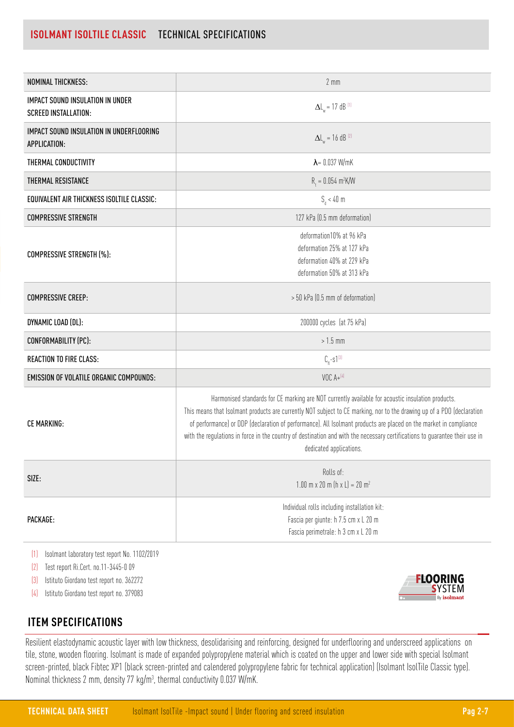## **ISOLMANT ISOLTILE CLASSIC** TECHNICAL SPECIFICATIONS

| NOMINAL THICKNESS:                                                     | $2 \, \text{mm}$                                                                                                                                                                                                                                                                                                                                                                                                                                                                                           |
|------------------------------------------------------------------------|------------------------------------------------------------------------------------------------------------------------------------------------------------------------------------------------------------------------------------------------------------------------------------------------------------------------------------------------------------------------------------------------------------------------------------------------------------------------------------------------------------|
| <b>IMPACT SOUND INSULATION IN UNDER</b><br><b>SCREED INSTALLATION:</b> | $\Delta L_{w}$ = 17 dB <sup>(1)</sup>                                                                                                                                                                                                                                                                                                                                                                                                                                                                      |
| IMPACT SOUND INSULATION IN UNDERFLOORING<br>APPLICATION:               | $\Delta L_{w} = 16$ dB <sup>(2)</sup>                                                                                                                                                                                                                                                                                                                                                                                                                                                                      |
| THERMAL CONDUCTIVITY                                                   | $\lambda$ = 0.037 W/mK                                                                                                                                                                                                                                                                                                                                                                                                                                                                                     |
| THERMAL RESISTANCE                                                     | $R_t = 0.054 \text{ m}^2 \text{K/W}$                                                                                                                                                                                                                                                                                                                                                                                                                                                                       |
| EQUIVALENT AIR THICKNESS ISOLTILE CLASSIC:                             | $S_d < 40$ m                                                                                                                                                                                                                                                                                                                                                                                                                                                                                               |
| <b>COMPRESSIVE STRENGTH</b>                                            | 127 kPa (0.5 mm deformation)                                                                                                                                                                                                                                                                                                                                                                                                                                                                               |
| COMPRESSIVE STRENGTH (%):                                              | deformation10% at 96 kPa<br>deformation 25% at 127 kPa<br>deformation 40% at 229 kPa<br>deformation 50% at 313 kPa                                                                                                                                                                                                                                                                                                                                                                                         |
| <b>COMPRESSIVE CREEP:</b>                                              | > 50 kPa (0.5 mm of deformation)                                                                                                                                                                                                                                                                                                                                                                                                                                                                           |
| DYNAMIC LOAD (DL):                                                     | 200000 cycles (at 75 kPa)                                                                                                                                                                                                                                                                                                                                                                                                                                                                                  |
| CONFORMABILITY (PC):                                                   | $>1.5$ mm                                                                                                                                                                                                                                                                                                                                                                                                                                                                                                  |
| <b>REACTION TO FIRE CLASS:</b>                                         | $C_{\rm fl}$ -s1 $^{[3]}$                                                                                                                                                                                                                                                                                                                                                                                                                                                                                  |
| <b>EMISSION OF VOLATILE ORGANIC COMPOUNDS:</b>                         | VOC $A + {}^{[4]}$                                                                                                                                                                                                                                                                                                                                                                                                                                                                                         |
| <b>CE MARKING:</b>                                                     | Harmonised standards for CE marking are NOT currently available for acoustic insulation products.<br>This means that Isolmant products are currently NOT subject to CE marking, nor to the drawing up of a PDO (declaration<br>of performance) or DDP (declaration of performance). All Isolmant products are placed on the market in compliance<br>with the regulations in force in the country of destination and with the necessary certifications to guarantee their use in<br>dedicated applications. |
| SIZE:                                                                  | Rolls of:<br>1.00 m x 20 m (h x L) = 20 m <sup>2</sup>                                                                                                                                                                                                                                                                                                                                                                                                                                                     |
| PACKAGE:                                                               | Individual rolls including installation kit:<br>Fascia per giunte: h 7.5 cm x L 20 m<br>Fascia perimetrale: h 3 cm x L 20 m                                                                                                                                                                                                                                                                                                                                                                                |

(1) Isolmant laboratory test report No. 1102/2019

(2) Test report Ri.Cert. no.11-3445-0 09

(3) Istituto Giordano test report no. 362272

(4) Istituto Giordano test report no. 379083

## **ITEM SPECIFICATIONS**

Resilient elastodynamic acoustic layer with low thickness, desolidarising and reinforcing, designed for underflooring and underscreed applications on tile, stone, wooden flooring. Isolmant is made of expanded polypropylene material which is coated on the upper and lower side with special Isolmant screen-printed, black Fibtec XP1 (black screen-printed and calendered polypropylene fabric for technical application) (Isolmant IsolTile Classic type). Nominal thickness 2 mm, density 77 kg/m $^3$ , thermal conductivity 0.037 W/mK.

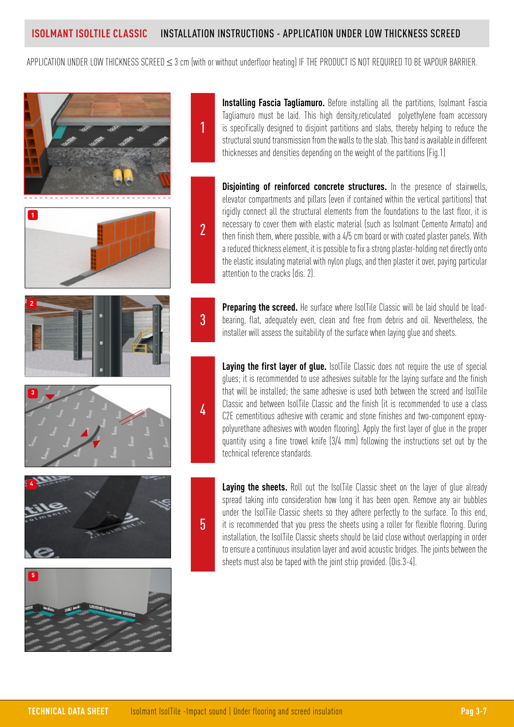1

2

3

4

5

APPLICATION UNDER LOW THICKNESS SCREED ≤ 3 cm (with or without underfloor heating) IF THE PRODUCT IS NOT REQUIRED TO BE VAPOUR BARRIER.



**Installing Fascia Tagliamuro.** Before installing all the partitions, Isolmant Fascia Tagliamuro must be laid. This high density,reticulated polyethylene foam accessory is specifically designed to disjoint partitions and slabs, thereby helping to reduce the structural sound transmission from the walls to the slab. This band is available in different thicknesses and densities depending on the weight of the partitions (Fig.1)

**Disjointing of reinforced concrete structures.** In the presence of stairwells, elevator compartments and pillars (even if contained within the vertical partitions) that rigidly connect all the structural elements from the foundations to the last floor, it is necessary to cover them with elastic material (such as Isolmant Cemento Armato) and then finish them, where possible, with a 4/5 cm board or with coated plaster panels. With a reduced thickness element, it is possible to fix a strong plaster-holding net directly onto the elastic insulating material with nylon plugs, and then plaster it over, paying particular attention to the cracks (dis. 2).

**Preparing the screed.** He surface where IsolTile Classic will be laid should be loadbearing, flat, adequately even, clean and free from debris and oil. Nevertheless, the installer will assess the suitability of the surface when laying glue and sheets.

**Laying the first layer of glue.** IsolTile Classic does not require the use of special glues; it is recommended to use adhesives suitable for the laying surface and the finish that will be installed; the same adhesive is used both between the screed and IsolTile Classic and between IsolTile Classic and the finish (it is recommended to use a class C2E cementitious adhesive with ceramic and stone finishes and two-component epoxypolyurethane adhesives with wooden flooring). Apply the first layer of glue in the proper quantity using a fine trowel knife (3/4 mm) following the instructions set out by the technical reference standards.

**Laying the sheets.** Roll out the IsolTile Classic sheet on the layer of glue already spread taking into consideration how long it has been open. Remove any air bubbles under the IsolTile Classic sheets so they adhere perfectly to the surface. To this end, it is recommended that you press the sheets using a roller for flexible flooring. During installation, the IsolTile Classic sheets should be laid close without overlapping in order to ensure a continuous insulation layer and avoid acoustic bridges. The joints between the sheets must also be taped with the joint strip provided. (Dis.3-4).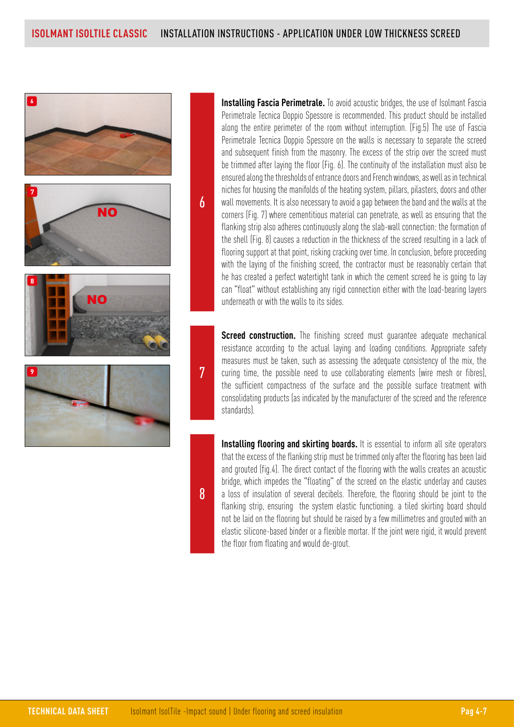

**Installing Fascia Perimetrale.** To avoid acoustic bridges, the use of Isolmant Fascia Perimetrale Tecnica Doppio Spessore is recommended. This product should be installed along the entire perimeter of the room without interruption. (Fig.5) The use of Fascia Perimetrale Tecnica Doppio Spessore on the walls is necessary to separate the screed and subsequent finish from the masonry. The excess of the strip over the screed must be trimmed after laying the floor (Fig. 6). The continuity of the installation must also be ensured along the thresholds of entrance doors and French windows, as well as in technical niches for housing the manifolds of the heating system, pillars, pilasters, doors and other wall movements. It is also necessary to avoid a gap between the band and the walls at the corners (Fig. 7) where cementitious material can penetrate, as well as ensuring that the flanking strip also adheres continuously along the slab-wall connection: the formation of the shell (Fig. 8) causes a reduction in the thickness of the screed resulting in a lack of flooring support at that point, risking cracking over time. In conclusion, before proceeding with the laying of the finishing screed, the contractor must be reasonably certain that he has created a perfect watertight tank in which the cement screed he is going to lay can "float" without establishing any rigid connection either with the load-bearing layers underneath or with the walls to its sides.

**Screed construction.** The finishing screed must quarantee adequate mechanical resistance according to the actual laying and loading conditions. Appropriate safety measures must be taken, such as assessing the adequate consistency of the mix, the curing time, the possible need to use collaborating elements (wire mesh or fibres), the sufficient compactness of the surface and the possible surface treatment with consolidating products (as indicated by the manufacturer of the screed and the reference standards).

**Installing flooring and skirting boards.** It is essential to inform all site operators that the excess of the flanking strip must be trimmed only after the flooring has been laid and grouted (fig.4). The direct contact of the flooring with the walls creates an acoustic bridge, which impedes the "floating" of the screed on the elastic underlay and causes a loss of insulation of several decibels. Therefore, the flooring should be joint to the flanking strip, ensuring the system elastic functioning. a tiled skirting board should not be laid on the flooring but should be raised by a few millimetres and grouted with an elastic silicone-based binder or a flexible mortar. If the joint were rigid, it would prevent the floor from floating and would de-grout.

8

7

6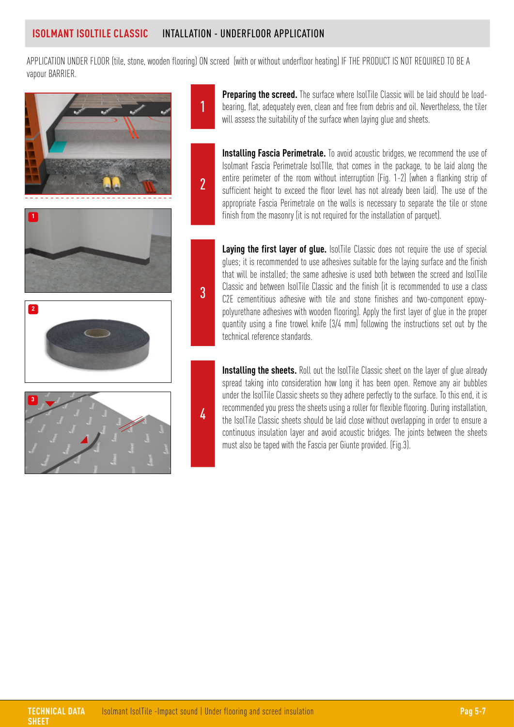1

2

3

4

APPLICATION UNDER FLOOR (tile, stone, wooden flooring) ON screed (with or without underfloor heating) IF THE PRODUCT IS NOT REQUIRED TO BE A vapour BARRIER.



**Preparing the screed.** The surface where IsolTile Classic will be laid should be loadbearing, flat, adequately even, clean and free from debris and oil. Nevertheless, the tiler will assess the suitability of the surface when laying glue and sheets.

**Installing Fascia Perimetrale.** To avoid acoustic bridges, we recommend the use of Isolmant Fascia Perimetrale IsolTIle, that comes in the package, to be laid along the entire perimeter of the room without interruption (Fig. 1-2) (when a flanking strip of sufficient height to exceed the floor level has not already been laid). The use of the appropriate Fascia Perimetrale on the walls is necessary to separate the tile or stone finish from the masonry (it is not required for the installation of parquet).

**Laying the first layer of glue.** IsolTile Classic does not require the use of special glues; it is recommended to use adhesives suitable for the laying surface and the finish that will be installed; the same adhesive is used both between the screed and IsolTile Classic and between IsolTile Classic and the finish (it is recommended to use a class C2E cementitious adhesive with tile and stone finishes and two-component epoxypolyurethane adhesives with wooden flooring). Apply the first layer of glue in the proper quantity using a fine trowel knife (3/4 mm) following the instructions set out by the technical reference standards.

**Installing the sheets.** Roll out the IsolTile Classic sheet on the layer of glue already spread taking into consideration how long it has been open. Remove any air bubbles under the IsolTile Classic sheets so they adhere perfectly to the surface. To this end, it is recommended you press the sheets using a roller for flexible flooring. During installation, the IsolTile Classic sheets should be laid close without overlapping in order to ensure a continuous insulation layer and avoid acoustic bridges. The joints between the sheets must also be taped with the Fascia per Giunte provided. (Fig.3).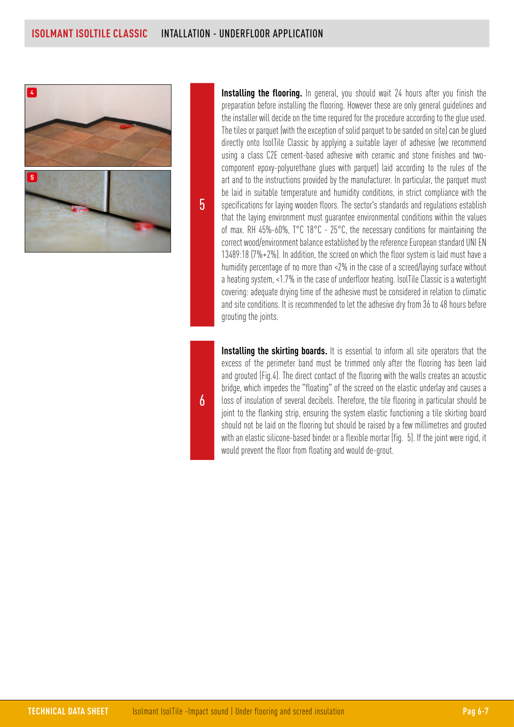

5

**Installing the flooring.** In general, you should wait 24 hours after you finish the preparation before installing the flooring. However these are only general guidelines and the installer will decide on the time required for the procedure according to the glue used. The tiles or parquet (with the exception of solid parquet to be sanded on site) can be glued directly onto IsolTile Classic by applying a suitable layer of adhesive (we recommend using a class C2E cement-based adhesive with ceramic and stone finishes and twocomponent epoxy-polyurethane glues with parquet) laid according to the rules of the art and to the instructions provided by the manufacturer. In particular, the parquet must be laid in suitable temperature and humidity conditions, in strict compliance with the specifications for laying wooden floors. The sector's standards and regulations establish that the laying environment must guarantee environmental conditions within the values of max. RH 45%-60%, T°C 18°C - 25°C, the necessary conditions for maintaining the correct wood/environment balance established by the reference European standard UNI EN 13489:18 (7%+2%). In addition, the screed on which the floor system is laid must have a humidity percentage of no more than <2% in the case of a screed/laying surface without a heating system, <1.7% in the case of underfloor heating. IsolTile Classic is a watertight covering: adequate drying time of the adhesive must be considered in relation to climatic and site conditions. It is recommended to let the adhesive dry from 36 to 48 hours before grouting the joints.

**Installing the skirting boards.** It is essential to inform all site operators that the excess of the perimeter band must be trimmed only after the flooring has been laid and grouted (Fig.4). The direct contact of the flooring with the walls creates an acoustic bridge, which impedes the "floating" of the screed on the elastic underlay and causes a loss of insulation of several decibels. Therefore, the tile flooring in particular should be joint to the flanking strip, ensuring the system elastic functioning a tile skirting board should not be laid on the flooring but should be raised by a few millimetres and grouted with an elastic silicone-based binder or a flexible mortar (fig. 5). If the joint were rigid, it would prevent the floor from floating and would de-grout.

6